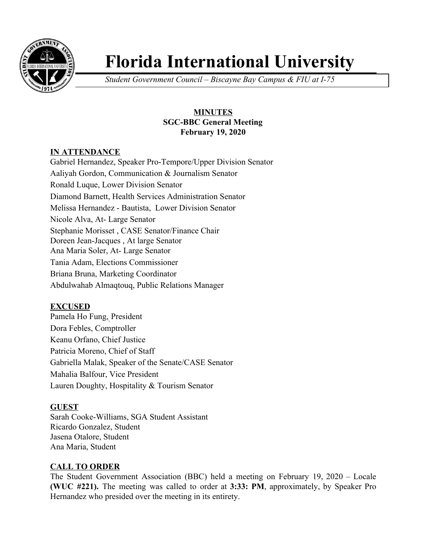

# **Florida International University**

*Student Government Council – Biscayne Bay Campus & FIU at I-75*

## **MINUTES SGC-BBC General Meeting February 19, 2020**

# **IN ATTENDANCE**

Gabriel Hernandez, Speaker Pro-Tempore/Upper Division Senator Aaliyah Gordon, Communication & Journalism Senator Ronald Luque, Lower Division Senator Diamond Barnett, Health Services Administration Senator Melissa Hernandez - Bautista, Lower Division Senator Nicole Alva, At- Large Senator Stephanie Morisset , CASE Senator/Finance Chair Doreen Jean-Jacques , At large Senator Ana Maria Soler, At- Large Senator Tania Adam, Elections Commissioner Briana Bruna, Marketing Coordinator Abdulwahab Almaqtouq, Public Relations Manager

# **EXCUSED**

Pamela Ho Fung, , President Dora Febles, Comptroller Keanu Orfano, Chief Justice Patricia Moreno, Chief of Staff Gabriella Malak, Speaker of the Senate/CASE Senator Mahalia Balfour, Vice President Lauren Doughty, Hospitality & Tourism Senator

## **GUEST**

Sarah Cooke-Williams, SGA Student Assistant Ricardo Gonzalez, Student Jasena Otalore, Student Ana Maria, Student

## **CALL TO ORDER**

The Student Government Association (BBC) held a meeting on February 19, 2020 – Locale **(WUC #221).** The meeting was called to order at **3:33: PM**, approximately, by Speaker Pro Hernandez who presided over the meeting in its entirety.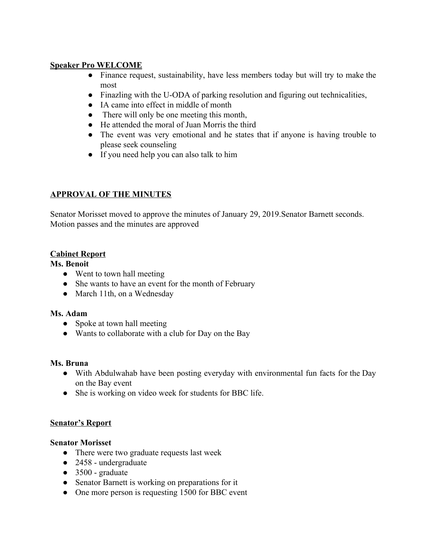#### **Speaker Pro WELCOME**

- Finance request, sustainability, have less members today but will try to make the most
- Finazling with the U-ODA of parking resolution and figuring out technicalities,
- IA came into effect in middle of month
- There will only be one meeting this month,
- He attended the moral of Juan Morris the third
- The event was very emotional and he states that if anyone is having trouble to please seek counseling
- If you need help you can also talk to him

# **APPROVAL OF THE MINUTES**

Senator Morisset moved to approve the minutes of January 29, 2019.Senator Barnett seconds. Motion passes and the minutes are approved

#### **Cabinet Report**

#### **Ms. Benoit**

- Went to town hall meeting
- She wants to have an event for the month of February
- March 11th, on a Wednesday

#### **Ms. Adam**

- Spoke at town hall meeting
- Wants to collaborate with a club for Day on the Bay

#### **Ms. Bruna**

- With Abdulwahab have been posting everyday with environmental fun facts for the Day on the Bay event
- She is working on video week for students for BBC life.

## **Senator's Report**

## **Senator Morisset**

- There were two graduate requests last week
- 2458 undergraduate
- 3500 graduate
- Senator Barnett is working on preparations for it
- One more person is requesting 1500 for BBC event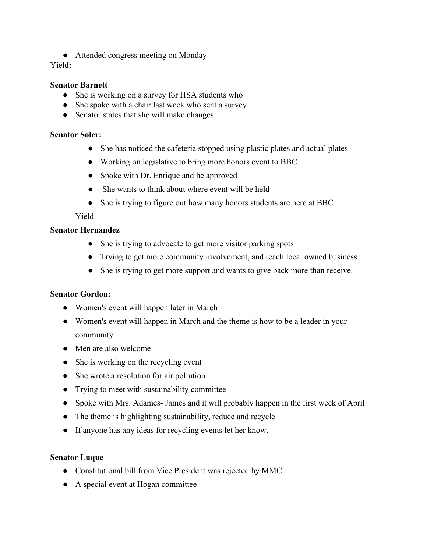• Attended congress meeting on Monday

Yield**:**

#### **Senator Barnett**

- She is working on a survey for HSA students who
- She spoke with a chair last week who sent a survey
- Senator states that she will make changes.

### **Senator Soler:**

- She has noticed the cafeteria stopped using plastic plates and actual plates
- Working on legislative to bring more honors event to BBC
- Spoke with Dr. Enrique and he approved
- She wants to think about where event will be held
- She is trying to figure out how many honors students are here at BBC

## Yield

## **Senator Hernandez**

- She is trying to advocate to get more visitor parking spots
- Trying to get more community involvement, and reach local owned business
- She is trying to get more support and wants to give back more than receive.

## **Senator Gordon:**

- Women's event will happen later in March
- Women's event will happen in March and the theme is how to be a leader in your community
- Men are also welcome
- She is working on the recycling event
- She wrote a resolution for air pollution
- Trying to meet with sustainability committee
- Spoke with Mrs. Adames-James and it will probably happen in the first week of April
- The theme is highlighting sustainability, reduce and recycle
- If anyone has any ideas for recycling events let her know.

## **Senator Luque**

- Constitutional bill from Vice President was rejected by MMC
- A special event at Hogan committee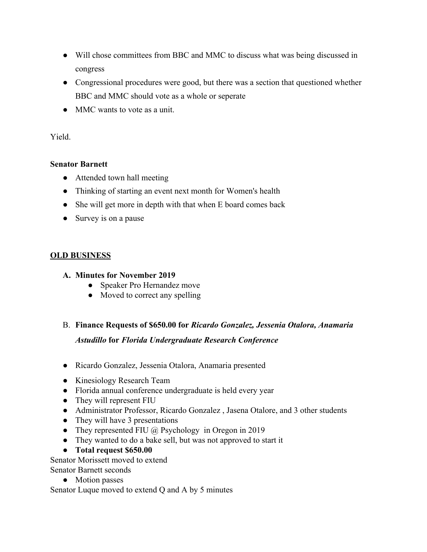- Will chose committees from BBC and MMC to discuss what was being discussed in congress
- Congressional procedures were good, but there was a section that questioned whether BBC and MMC should vote as a whole or seperate
- MMC wants to vote as a unit.

# Yield.

# **Senator Barnett**

- Attended town hall meeting
- Thinking of starting an event next month for Women's health
- She will get more in depth with that when E board comes back
- Survey is on a pause

# **OLD BUSINESS**

# **A. Minutes for November 2019**

- Speaker Pro Hernandez move
- Moved to correct any spelling

# B. **Finance Requests of \$650.00 for** *Ricardo Gonzalez, Jessenia Otalora, Anamaria*

# *Astudillo* **for** *Florida Undergraduate Research Conference*

- Ricardo Gonzalez, Jessenia Otalora, Anamaria presented
- Kinesiology Research Team
- Florida annual conference undergraduate is held every year
- They will represent FIU
- Administrator Professor, Ricardo Gonzalez , Jasena Otalore, and 3 other students
- They will have 3 presentations
- They represented FIU  $\omega$  Psychology in Oregon in 2019
- They wanted to do a bake sell, but was not approved to start it
- **● Total request \$650.00**

Senator Morissett moved to extend

Senator Barnett seconds

• Motion passes

Senator Luque moved to extend Q and A by 5 minutes